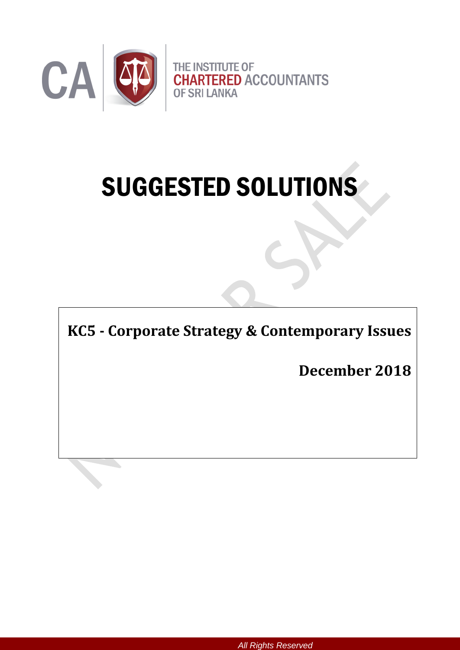

# SUGGESTED SOLUTIONS

**KC5 - Corporate Strategy & Contemporary Issues** 

**December 2018**

*All Rights Reserved*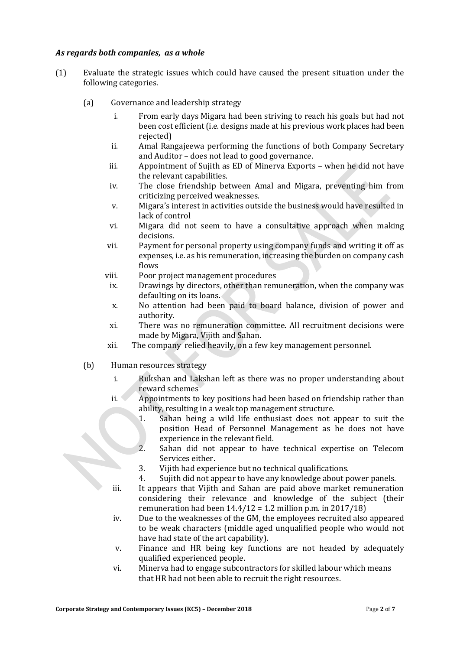### *As regards both companies, as a whole*

- (1) Evaluate the strategic issues which could have caused the present situation under the following categories.
	- (a) Governance and leadership strategy
		- i. From early days Migara had been striving to reach his goals but had not been cost efficient (i.e. designs made at his previous work places had been rejected)
		- ii. Amal Rangajeewa performing the functions of both Company Secretary and Auditor – does not lead to good governance.
		- iii. Appointment of Sujith as ED of Minerva Exports when he did not have the relevant capabilities.
		- iv. The close friendship between Amal and Migara, preventing him from criticizing perceived weaknesses.
		- v. Migara's interest in activities outside the business would have resulted in lack of control
		- vi. Migara did not seem to have a consultative approach when making decisions.
		- vii. Payment for personal property using company funds and writing it off as expenses, i.e. as his remuneration, increasing the burden on company cash flows
		- viii. Poor project management procedures
			- ix. Drawings by directors, other than remuneration, when the company was defaulting on its loans.
			- x. No attention had been paid to board balance, division of power and authority.
			- xi. There was no remuneration committee. All recruitment decisions were made by Migara, Vijith and Sahan.
		- xii. The company relied heavily, on a few key management personnel.
	- (b) Human resources strategy
		- i. Rukshan and Lakshan left as there was no proper understanding about reward schemes
		- ii. Appointments to key positions had been based on friendship rather than ability, resulting in a weak top management structure.
			- 1. Sahan being a wild life enthusiast does not appear to suit the position Head of Personnel Management as he does not have experience in the relevant field.
			- 2. Sahan did not appear to have technical expertise on Telecom Services either.
			- 3. Vijith had experience but no technical qualifications.
			- 4. Sujith did not appear to have any knowledge about power panels.
		- iii. It appears that Vijith and Sahan are paid above market remuneration considering their relevance and knowledge of the subject (their remuneration had been  $14.4/12 = 1.2$  million p.m. in 2017/18)
		- iv. Due to the weaknesses of the GM, the employees recruited also appeared to be weak characters (middle aged unqualified people who would not have had state of the art capability).
		- v. Finance and HR being key functions are not headed by adequately qualified experienced people.
		- vi. Minerva had to engage subcontractors for skilled labour which means that HR had not been able to recruit the right resources.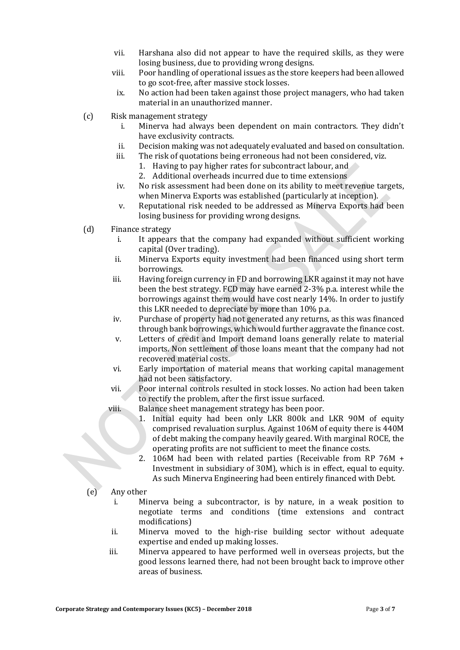- vii. Harshana also did not appear to have the required skills, as they were losing business, due to providing wrong designs.
- viii. Poor handling of operational issues as the store keepers had been allowed to go scot-free, after massive stock losses.
	- ix. No action had been taken against those project managers, who had taken material in an unauthorized manner.
- (c) Risk management strategy
	- i. Minerva had always been dependent on main contractors. They didn't have exclusivity contracts.
	- ii. Decision making was not adequately evaluated and based on consultation.
	- iii. The risk of quotations being erroneous had not been considered, viz.
		- 1. Having to pay higher rates for subcontract labour, and
		- 2. Additional overheads incurred due to time extensions
	- iv. No risk assessment had been done on its ability to meet revenue targets, when Minerva Exports was established (particularly at inception).
	- v. Reputational risk needed to be addressed as Minerva Exports had been losing business for providing wrong designs.
- (d) Finance strategy
	- i. It appears that the company had expanded without sufficient working capital (Over trading).
	- ii. Minerva Exports equity investment had been financed using short term borrowings.
	- iii. Having foreign currency in FD and borrowing LKR against it may not have been the best strategy. FCD may have earned 2-3% p.a. interest while the borrowings against them would have cost nearly 14%. In order to justify this LKR needed to depreciate by more than 10% p.a.
	- iv. Purchase of property had not generated any returns, as this was financed through bank borrowings,which would further aggravate the finance cost.
	- v. Letters of credit and Import demand loans generally relate to material imports. Non settlement of those loans meant that the company had not recovered material costs.
	- vi. Early importation of material means that working capital management had not been satisfactory.
	- vii. Poor internal controls resulted in stock losses. No action had been taken to rectify the problem, after the first issue surfaced.
	- viii. Balance sheet management strategy has been poor.
		- 1. Initial equity had been only LKR 800k and LKR 90M of equity comprised revaluation surplus. Against 106M of equity there is 440M of debt making the company heavily geared. With marginal ROCE, the operating profits are not sufficient to meet the finance costs.
		- 2. 106M had been with related parties (Receivable from RP 76M + Investment in subsidiary of 30M), which is in effect, equal to equity. As such Minerva Engineering had been entirely financed with Debt.
- (e) Any other
	- i. Minerva being a subcontractor, is by nature, in a weak position to negotiate terms and conditions (time extensions and contract modifications)
	- ii. Minerva moved to the high-rise building sector without adequate expertise and ended up making losses.
	- iii. Minerva appeared to have performed well in overseas projects, but the good lessons learned there, had not been brought back to improve other areas of business.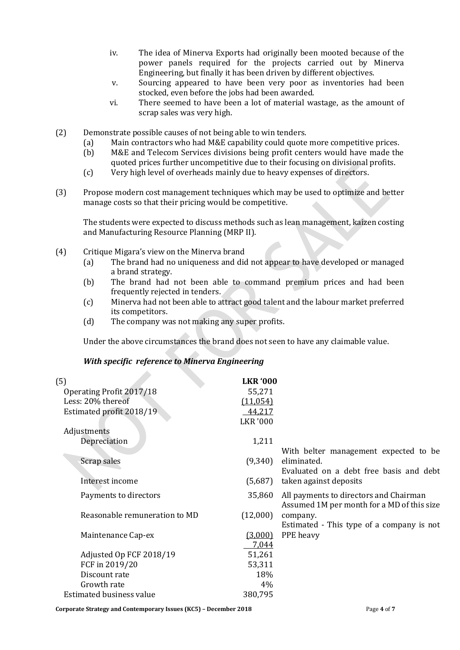- iv. The idea of Minerva Exports had originally been mooted because of the power panels required for the projects carried out by Minerva Engineering, but finally it has been driven by different objectives.
- v. Sourcing appeared to have been very poor as inventories had been stocked, even before the jobs had been awarded.
- vi. There seemed to have been a lot of material wastage, as the amount of scrap sales was very high.
- (2) Demonstrate possible causes of not being able to win tenders.
	- (a) Main contractors who had M&E capability could quote more competitive prices.
	- (b) M&E and Telecom Services divisions being profit centers would have made the quoted prices further uncompetitive due to their focusing on divisional profits.
	- (c) Very high level of overheads mainly due to heavy expenses of directors.
- (3) Propose modern cost management techniques which may be used to optimize and better manage costs so that their pricing would be competitive.

The students were expected to discuss methods such as lean management, kaizen costing and Manufacturing Resource Planning (MRP II).

- (4) Critique Migara's view on the Minerva brand
	- (a) The brand had no uniqueness and did not appear to have developed or managed a brand strategy.
	- (b) The brand had not been able to command premium prices and had been frequently rejected in tenders.
	- (c) Minerva had not been able to attract good talent and the labour market preferred its competitors.
	- (d) The company was not making any super profits.

Under the above circumstances the brand does not seen to have any claimable value.

### *With specific reference to Minerva Engineering*

| (5)<br>Operating Profit 2017/18 | <b>LKR '000</b><br>55,271 |                                                                                      |
|---------------------------------|---------------------------|--------------------------------------------------------------------------------------|
| Less: 20% thereof               | (11, 054)                 |                                                                                      |
| Estimated profit 2018/19        | 44,217                    |                                                                                      |
|                                 | <b>LKR '000</b>           |                                                                                      |
| Adjustments                     |                           |                                                                                      |
| Depreciation                    | 1,211                     |                                                                                      |
|                                 |                           | With belter management expected to be                                                |
| Scrap sales                     | (9,340)                   | eliminated.                                                                          |
|                                 |                           | Evaluated on a debt free basis and debt                                              |
| Interest income                 | (5,687)                   | taken against deposits                                                               |
| Payments to directors           | 35,860                    | All payments to directors and Chairman<br>Assumed 1M per month for a MD of this size |
| Reasonable remuneration to MD   | (12,000)                  | company.                                                                             |
|                                 |                           | Estimated - This type of a company is not                                            |
| Maintenance Cap-ex              | (3,000)                   | PPE heavy                                                                            |
|                                 | 7,044                     |                                                                                      |
| Adjusted Op FCF 2018/19         | 51,261                    |                                                                                      |
| FCF in 2019/20                  | 53,311                    |                                                                                      |
| Discount rate                   | 18%                       |                                                                                      |
| Growth rate                     | 4%                        |                                                                                      |
| Estimated business value        | 380,795                   |                                                                                      |
|                                 |                           |                                                                                      |

**Corporate Strategy and Contemporary Issues (KC5) – December 2018** Page **4** of **7**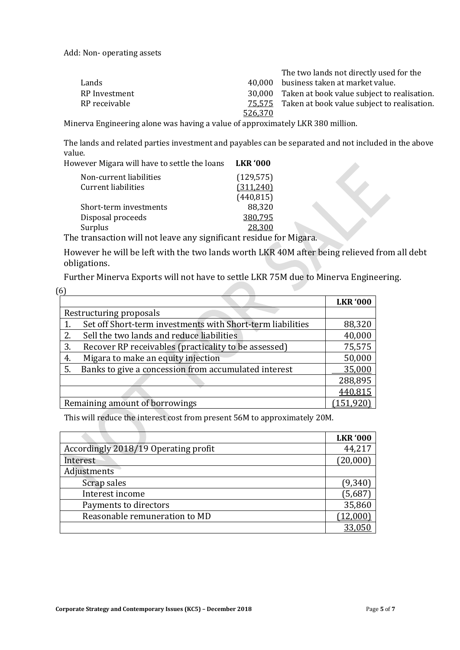Add: Non- operating assets

|               |         | The two lands not directly used for the            |
|---------------|---------|----------------------------------------------------|
| Lands         | 40.000  | business taken at market value.                    |
| RP Investment |         | 30,000 Taken at book value subject to realisation. |
| RP receivable |         | 75,575 Taken at book value subject to realisation. |
|               | 526.370 |                                                    |

Minerva Engineering alone was having a value of approximately LKR 380 million.

The lands and related parties investment and payables can be separated and not included in the above value.

| However Migara will have to settle the loans | <b>LKR '000</b> |
|----------------------------------------------|-----------------|
| Non-current liabilities                      | (129, 575)      |
| Current liabilities                          | (311,240)       |
|                                              | (440, 815)      |
| Short-term investments                       | 88,320          |

Disposal proceeds 380,795

Surplus 28,300 The transaction will not leave any significant residue for Migara.

However he will be left with the two lands worth LKR 40M after being relieved from all debt obligations.

Further Minerva Exports will not have to settle LKR 75M due to Minerva Engineering.

| (6) |                                                            |                 |
|-----|------------------------------------------------------------|-----------------|
|     |                                                            | <b>LKR '000</b> |
|     | Restructuring proposals                                    |                 |
|     | Set off Short-term investments with Short-term liabilities | 88,320          |
| 2.  | Sell the two lands and reduce liabilities                  | 40,000          |
| 3.  | Recover RP receivables (practicality to be assessed)       | 75,575          |
| 4.  | Migara to make an equity injection                         | 50,000          |
| 5.  | Banks to give a concession from accumulated interest       | 35,000          |
|     |                                                            | 288,895         |
|     |                                                            | 440,815         |
|     | Remaining amount of borrowings                             | (151, 920)      |

This will reduce the interest cost from present 56M to approximately 20M.

|                                      | <b>LKR '000</b> |
|--------------------------------------|-----------------|
| Accordingly 2018/19 Operating profit | 44,217          |
| Interest                             | (20,000)        |
| Adjustments                          |                 |
| Scrap sales                          | (9, 340)        |
| Interest income                      | (5,687)         |
| Payments to directors                | 35,860          |
| Reasonable remuneration to MD        | (12,000)        |
|                                      | 33,050          |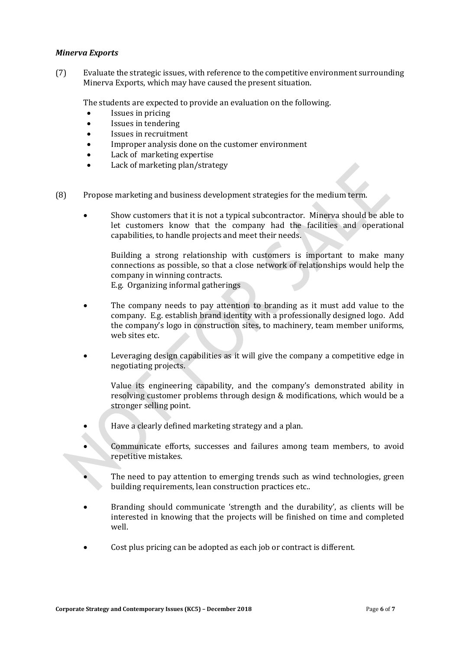#### *Minerva Exports*

(7) Evaluate the strategic issues, with reference to the competitive environment surrounding Minerva Exports, which may have caused the present situation.

The students are expected to provide an evaluation on the following.

- Issues in pricing
- Issues in tendering
- Issues in recruitment
- Improper analysis done on the customer environment
- Lack of marketing expertise
- Lack of marketing plan/strategy
- (8) Propose marketing and business development strategies for the medium term.
	- Show customers that it is not a typical subcontractor. Minerva should be able to let customers know that the company had the facilities and operational capabilities, to handle projects and meet their needs.

Building a strong relationship with customers is important to make many connections as possible, so that a close network of relationships would help the company in winning contracts.

E.g. Organizing informal gatherings

- The company needs to pay attention to branding as it must add value to the company. E.g. establish brand identity with a professionally designed logo. Add the company's logo in construction sites, to machinery, team member uniforms, web sites etc.
- Leveraging design capabilities as it will give the company a competitive edge in negotiating projects.

Value its engineering capability, and the company's demonstrated ability in resolving customer problems through design & modifications, which would be a stronger selling point.

- Have a clearly defined marketing strategy and a plan.
- Communicate efforts, successes and failures among team members, to avoid repetitive mistakes.
- The need to pay attention to emerging trends such as wind technologies, green building requirements, lean construction practices etc..
- Branding should communicate 'strength and the durability', as clients will be interested in knowing that the projects will be finished on time and completed well.
- Cost plus pricing can be adopted as each job or contract is different.